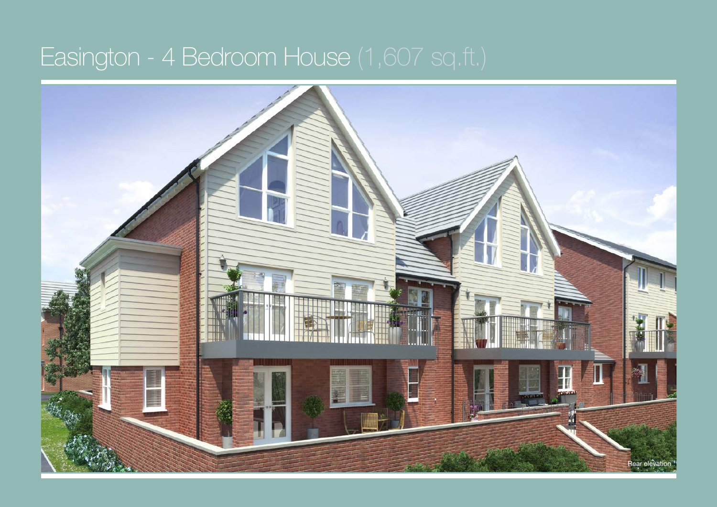## Easington - 4 Bedroom House (1,607 sq.ft.)